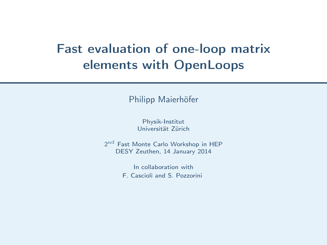# Fast evaluation of one-loop matrix elements with OpenLoops

Philipp Maierhöfer

Physik-Institut Universität Zürich

 $2<sup>nd</sup>$  Fast Monte Carlo Workshop in HEP DESY Zeuthen, 14 January 2014

In collaboration with

<span id="page-0-0"></span>F. Cascioli and S. Pozzorini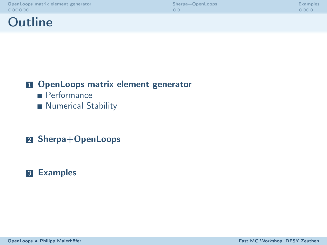**Outline** 



#### **1** [OpenLoops matrix element generator](#page-2-0)

- **[Performance](#page-4-0)**
- **[Numerical Stability](#page-7-0)**

#### 2 [Sherpa+OpenLoops](#page-8-0)

#### **3** [Examples](#page-10-0)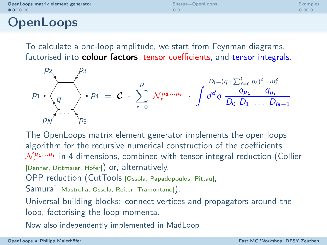$\Omega$ 

<span id="page-2-0"></span>oooo

### **OpenLoops**

To calculate a one-loop amplitude, we start from Feynman diagrams, factorised into colour factors, tensor coefficients, and tensor integrals.

$$
\rho_1
$$
\n
$$
\rho_2
$$
\n
$$
\rho_3
$$
\n
$$
\rho_4 = \mathcal{C} \cdot \sum_{r=0}^R \mathcal{N}_r^{\mu_1 \dots \mu_r} \cdot \int d^d q \frac{q_{\mu_1} \dots q_{\mu_r}}{D_0 D_1 \dots D_{N-1}}
$$

The OpenLoops matrix element generator implements the open loops algorithm for the recursive numerical construction of the coefficients  $\mathcal{N}_{r}^{\mu_{1}...\mu_{r}}$  in 4 dimensions, combined with tensor integral reduction (Collier [Denner, Dittmaier, Hofer]) or, alternatively,

OPP reduction (CutTools [Ossola, Papadopoulos, Pittau],

Samurai [Mastrolia, Ossola, Reiter, Tramontano]).

Universal building blocks: connect vertices and propagators around the loop, factorising the loop momenta.

Now also independently implemented in MadLoop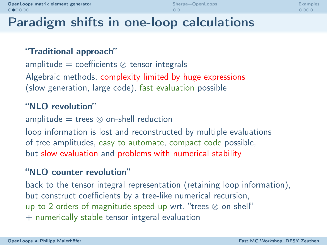## Paradigm shifts in one-loop calculations

#### "Traditional approach"

amplitude  $=$  coefficients  $\otimes$  tensor integrals

Algebraic methods, complexity limited by huge expressions (slow generation, large code), fast evaluation possible

#### "NLO revolution"

amplitude  $=$  trees  $\otimes$  on-shell reduction

loop information is lost and reconstructed by multiple evaluations of tree amplitudes, easy to automate, compact code possible, but slow evaluation and problems with numerical stability

#### "NLO counter revolution"

back to the tensor integral representation (retaining loop information), but construct coefficients by a tree-like numerical recursion, up to 2 orders of magnitude speed-up wrt. "trees ⊗ on-shell" + numerically stable tensor intgeral evaluation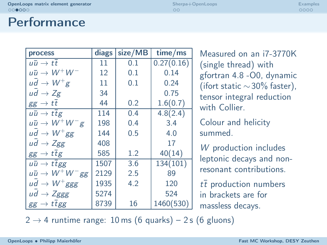### **Performance**

| process                             | diags | size/MB | time/ms    |
|-------------------------------------|-------|---------|------------|
| นนิ $\to t\overline{t}$             | 11    | 0.1     | 0.27(0.16) |
| นนิ $\rightarrow$ $W^+W^-$          | 12    | 0.1     | 0.14       |
| $ud \rightarrow W^+g$               | 11    | 0.1     | 0.24       |
| $ud \rightarrow Zg$                 | 34    |         | 0.75       |
| $gg \to t\overline{t}$              | 44    | 0.2     | 1.6(0.7)   |
| $u\bar{u}\rightarrow t\bar{t}g$     | 114   | 0.4     | 4.8(2.4)   |
| $u\bar{u} \rightarrow W^{+}W^{-}g$  | 198   | 0.4     | 3.4        |
| $u\bar{d} \rightarrow W^+ gg$       | 144   | 0.5     | 4.0        |
| $ud \rightarrow Zgg$                | 408   |         | 17         |
| $gg \to t\overline{t}g$             | 585   | 1.2     | 40(14)     |
| $u\bar{u}\rightarrow t\bar{t}gg$    | 1507  | 3.6     | 134(101)   |
| $u\bar{u} \rightarrow W^{+}W^{-}gg$ | 2129  | 2.5     | 89         |
| $u\bar{d} \rightarrow W^+ggg$       | 1935  | 4.2     | 120        |
| $ud \rightarrow Zggg$               | 5274  |         | 524        |
| $gg \rightarrow t$ tgg              | 8739  | 16      | 1460(530)  |

Measured on an i7-3770K (single thread) with gfortran 4.8 -O0, dynamic (ifort static ∼30% faster), tensor integral reduction with Collier.

Colour and helicity summed.

W production includes leptonic decays and nonresonant contributions.

<span id="page-4-0"></span> $t\bar{t}$  production numbers in brackets are for massless decays.

 $2 \rightarrow 4$  runtime range: 10 ms (6 quarks) – 2 s (6 gluons)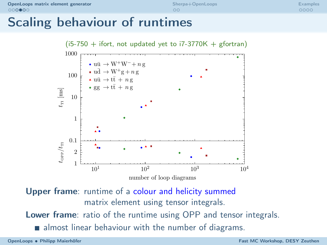$\Omega$ 

oooo

### Scaling behaviour of runtimes



Upper frame: runtime of a colour and helicity summed matrix element using tensor integrals. Lower frame: ratio of the runtime using OPP and tensor integrals. almost linear behaviour with the number of diagrams.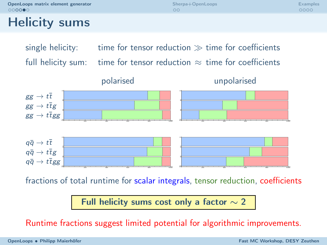[OpenLoops matrix element generator](#page-2-0) and the [Sherpa+OpenLoops](#page-8-0) [Examples](#page-10-0)<br>  $\bigcirc \bigcirc \bigcirc \bigcirc \bigcirc \bigcirc$ 

 $\Omega$ 

oooo

## Helicity sums

single helicity: time for tensor reduction  $\gg$  time for coefficients full helicity sum: time for tensor reduction  $\approx$  time for coefficients



fractions of total runtime for scalar integrals, tensor reduction, coefficients

Full helicity sums cost only a factor  $\sim$  2

Runtime fractions suggest limited potential for algorithmic improvements.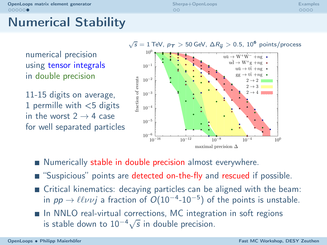# Numerical Stability

numerical precision using tensor integrals in double precision

11-15 digits on average, 1 permille with  $<$ 5 digits in the worst  $2 \rightarrow 4$  case for well separated particles



- Numerically stable in double precision almost everywhere.
- "Suspicious" points are detected on-the-fly and rescued if possible.
- Critical kinematics: decaying particles can be aligned with the beam: in  $pp \rightarrow \ell \ell \nu \nu j$  a fraction of  $O(10^{-4} \text{--}10^{-5})$  of the points is unstable.

 $\Omega$ 

In NNLO real-virtual corrections, MC integration in soft regions is stable down to  $10^{-4}\sqrt{s}$  in double precision.

<span id="page-7-0"></span>oooo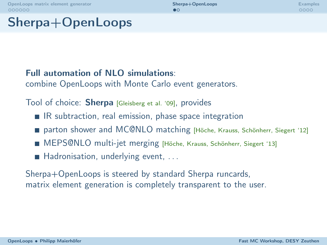$\bullet$ 

<span id="page-8-0"></span>oooo

## Sherpa+OpenLoops

#### Full automation of NLO simulations:

combine OpenLoops with Monte Carlo event generators.

Tool of choice: **Sherpa** [Gleisberg et al. '09], provides

- $\blacksquare$  IR subtraction, real emission, phase space integration
- parton shower and MC@NLO matching [Höche, Krauss, Schönherr, Siegert '12]
- MEPS@NLO multi-jet merging [Höche, Krauss, Schönherr, Siegert '13]
- $\blacksquare$  Hadronisation, underlying event, ...

Sherpa+OpenLoops is steered by standard Sherpa runcards, matrix element generation is completely transparent to the user.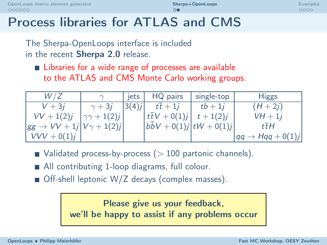# Process libraries for ATLAS and CMS

The Sherpa-OpenLoops interface is included in the recent Sherpa 2.0 release.

■ Libraries for a wide range of processes are available to the ATLAS and CMS Monte Carlo working groups.

| W / Z                                        | $\sim$               | iets  | HQ pairs                         | single-top  | <b>Higgs</b>                     |
|----------------------------------------------|----------------------|-------|----------------------------------|-------------|----------------------------------|
| $V + 3i$                                     | $\gamma + 3i$        | 3(4)j | $t\overline{t}+1i$               | $tb+1i$     | $(H + 2i)$                       |
| $VV + 1(2)j$                                 | $\gamma\gamma+1(2)j$ |       | $t\bar{t}V+0(1)j$                | $t + 1(2)j$ | $VH + 1i$                        |
| $\rightarrow VV + 1j V\gamma + 1(2)j $<br>gg |                      |       | $ b\bar{b}V + 0(1)j tW + 0(1)j $ |             | tŦH                              |
| $VVV + 0(1)j$                                |                      |       |                                  |             | $\rightarrow$ Hqq + 0(1)j<br>.aq |

- $\blacksquare$  Validated process-by-process ( $> 100$  partonic channels).
- All contributing 1-loop diagrams, full colour.
- $\blacksquare$  Off-shell leptonic W/Z decays (complex masses).

Please give us your feedback, we'll be happy to assist if any problems occur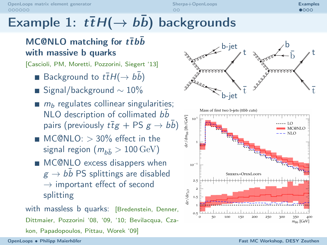$0000$ 

# Example 1:  $t\bar{t}H(\rightarrow b\bar{b})$  backgrounds

### MC@NLO matching for  $t\bar{t}b\bar{b}$ with massive b quarks

[Cascioli, PM, Moretti, Pozzorini, Siegert '13]

- Background to  $t\bar{t}H(\rightarrow b\bar{b})$
- Signal/background  $\sim 10\%$
- $m_b$  regulates collinear singularities; NLO description of collimated  $b\bar{b}$ pairs (previously  $t\bar{t}g$  + PS  $g \to b\bar{b}$ )
- $\blacksquare$  MC@NLO:  $>$  30% effect in the signal region  $(m_{b\bar{b}} > 100 \,\text{GeV})$
- **MC@NLO** excess disappers when  $g \rightarrow b \bar{b}$  PS splittings are disabled  $\rightarrow$  important effect of second splitting

with massless b quarks: [Bredenstein, Denner, Dittmaier, Pozzorini '08, '09, '10; Bevilacqua, Czakon, Papadopoulos, Pittau, Worek '09]



<span id="page-10-0"></span>Mass of first two b-jets (ttbb cuts)

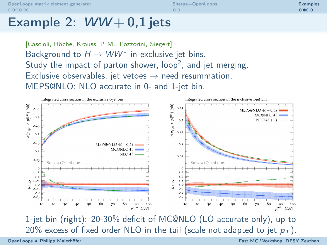$\circ$ 

 $0000$ 

### Example 2:  $WW + 0.1$  jets

[Cascioli, Höche, Krauss, P. M., Pozzorini, Siegert] Background to  $H \to WW^*$  in exclusive jet bins. Study the impact of parton shower,  $loop<sup>2</sup>$ , and jet merging. Exclusive observables, jet vetoes  $\rightarrow$  need resummation. MEPS@NLO: NLO accurate in 0- and 1-jet bin.



OpenLoops • [Philipp Maierhöfer](#page-0-0) Fast MC Workshop, DESY Zeuthen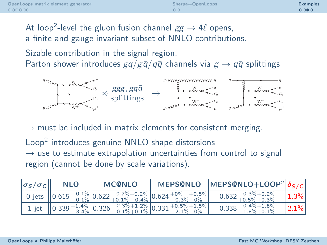റററെ

At loop<sup>2</sup>-level the gluon fusion channel  $gg \to 4\ell$  opens, a finite and gauge invariant subset of NNLO contributions. Sizable contribution in the signal region. Parton shower introduces  $gq/g\bar{q}/q\bar{q}$  channels via  $g \to q\bar{q}$  splittings



 $\rightarrow$  must be included in matrix elements for consistent merging.

Loop<sup>2</sup> introduces genuine NNLO shape distorsions  $\rightarrow$  use to estimate extrapolation uncertainties from control to signal region (cannot be done by scale variations).

| $ \sigma_S/\sigma_C  $ | <b>NLO</b> | <b>MC@NLO</b>                                                                                                                                                                                                                  | <b>MEPS@NLO</b> | MEPS@NLO+LOOP <sup>2</sup> $ \delta_{S/C} $            |           |
|------------------------|------------|--------------------------------------------------------------------------------------------------------------------------------------------------------------------------------------------------------------------------------|-----------------|--------------------------------------------------------|-----------|
|                        |            | 0-jets $\left[0.615\begin{array}{l} -0.1\%\\-0.1\% \end{array}\right]0.622\begin{array}{l} -0.7\%\\+0.1\% \end{array}\right]0.624\begin{array}{l} +0\%\\-0.3\% \end{array}\left 0.5\right]$                                    |                 | $-0.3\% + 0.2\%$<br>1 0.632 $^{-0.5\%}_{+0.5\%}$ +0.3% | 1.3%      |
|                        |            | 1-jet $\begin{array}{ l c c c c c c c }\n\hline\n1-\text{jet} & 0.339 & +1.4\% & 0.326 & -2.3\% & +1.2\% & 0.331 & +0.5\% & +1.5\% \\ \hline\n-3.4\% & 0.326 & -0.1\% & +0.1\% & 0.331 & -2.1\% & -0\% \\ \hline\n\end{array}$ | $+0.5\% +1.5\%$ | $-0.4\% + 1.8\%$<br>0.338<br>$-1.8\% + 0.1\%$          | $ 2.1\% $ |